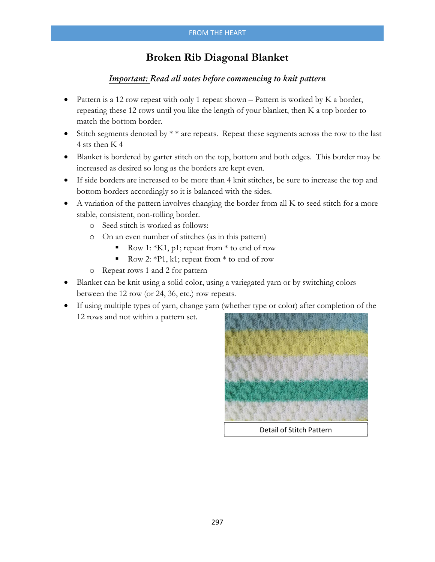## **Broken Rib Diagonal Blanket**

## *Important: Read all notes before commencing to knit pattern*

- Pattern is a 12 row repeat with only 1 repeat shown  $-$  Pattern is worked by K a border, repeating these 12 rows until you like the length of your blanket, then K a top border to match the bottom border.
- Stitch segments denoted by  $* *$  are repeats. Repeat these segments across the row to the last 4 sts then K 4
- Blanket is bordered by garter stitch on the top, bottom and both edges. This border may be increased as desired so long as the borders are kept even.
- If side borders are increased to be more than 4 knit stitches, be sure to increase the top and bottom borders accordingly so it is balanced with the sides.
- A variation of the pattern involves changing the border from all K to seed stitch for a more stable, consistent, non-rolling border.
	- o Seed stitch is worked as follows:
	- o On an even number of stitches (as in this pattern)
		- Row 1:  $*K1$ , p1; repeat from  $*$  to end of row
		- Row 2: \*P1, k1; repeat from \* to end of row
	- o Repeat rows 1 and 2 for pattern
- Blanket can be knit using a solid color, using a variegated yarn or by switching colors between the 12 row (or 24, 36, etc.) row repeats.
- If using multiple types of yarn, change yarn (whether type or color) after completion of the 12 rows and not within a pattern set.



Detail of Stitch Pattern